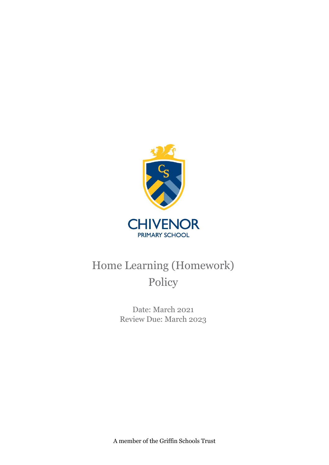

# Home Learning (Homework) Policy

Date: March 2021 Review Due: March 2023

A member of the Griffin Schools Trust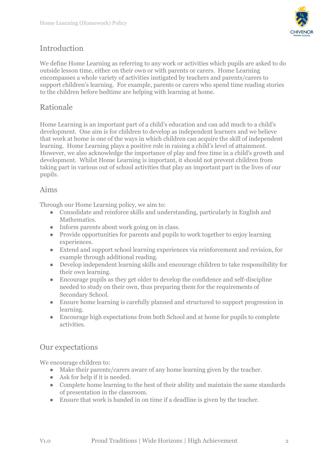

## Introduction

We define Home Learning as referring to any work or activities which pupils are asked to do outside lesson time, either on their own or with parents or carers. Home Learning encompasses a whole variety of activities instigated by teachers and parents/carers to support children's learning. For example, parents or carers who spend time reading stories to the children before bedtime are helping with learning at home.

## Rationale

Home Learning is an important part of a child's education and can add much to a child's development. One aim is for children to develop as independent learners and we believe that work at home is one of the ways in which children can acquire the skill of independent learning. Home Learning plays a positive role in raising a child's level of attainment. However, we also acknowledge the importance of play and free time in a child's growth and development. Whilst Home Learning is important, it should not prevent children from taking part in various out of school activities that play an important part in the lives of our pupils.

#### Aims

Through our Home Learning policy, we aim to:

- Consolidate and reinforce skills and understanding, particularly in English and Mathematics.
- Inform parents about work going on in class.
- Provide opportunities for parents and pupils to work together to enjoy learning experiences.
- Extend and support school learning experiences via reinforcement and revision, for example through additional reading.
- Develop independent learning skills and encourage children to take responsibility for their own learning.
- Encourage pupils as they get older to develop the confidence and self-discipline needed to study on their own, thus preparing them for the requirements of Secondary School.
- Ensure home learning is carefully planned and structured to support progression in learning.
- Encourage high expectations from both School and at home for pupils to complete activities.

### Our expectations

We encourage children to:

- Make their parents/carers aware of any home learning given by the teacher.
- Ask for help if it is needed.
- Complete home learning to the best of their ability and maintain the same standards of presentation in the classroom.
- Ensure that work is handed in on time if a deadline is given by the teacher.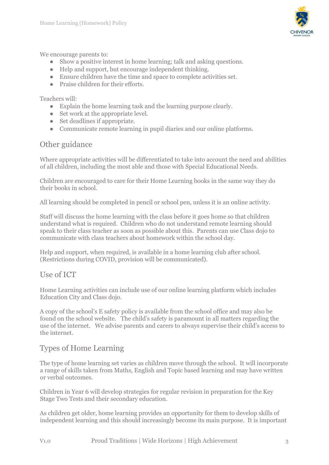

We encourage parents to:

- Show a positive interest in home learning; talk and asking questions.
- Help and support, but encourage independent thinking.
- Ensure children have the time and space to complete activities set.
- **•** Praise children for their efforts.

Teachers will:

- Explain the home learning task and the learning purpose clearly.
- Set work at the appropriate level.
- Set deadlines if appropriate.
- Communicate remote learning in pupil diaries and our online platforms.

#### Other guidance

Where appropriate activities will be differentiated to take into account the need and abilities of all children, including the most able and those with Special Educational Needs.

Children are encouraged to care for their Home Learning books in the same way they do their books in school.

All learning should be completed in pencil or school pen, unless it is an online activity.

Staff will discuss the home learning with the class before it goes home so that children understand what is required. Children who do not understand remote learning should speak to their class teacher as soon as possible about this. Parents can use Class dojo to communicate with class teachers about homework within the school day.

Help and support, when required, is available in a home learning club after school. (Restrictions during COVID, provision will be communicated).

#### Use of ICT

Home Learning activities can include use of our online learning platform which includes Education City and Class dojo.

A copy of the school's E safety policy is available from the school office and may also be found on the school website. The child's safety is paramount in all matters regarding the use of the internet. We advise parents and carers to always supervise their child's access to the internet.

#### Types of Home Learning

The type of home learning set varies as children move through the school. It will incorporate a range of skills taken from Maths, English and Topic based learning and may have written or verbal outcomes.

Children in Year 6 will develop strategies for regular revision in preparation for the Key Stage Two Tests and their secondary education.

As children get older, home learning provides an opportunity for them to develop skills of independent learning and this should increasingly become its main purpose. It is important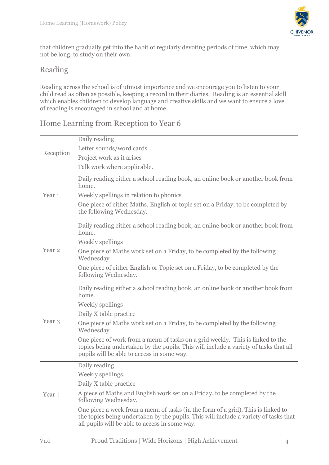

that children gradually get into the habit of regularly devoting periods of time, which may not be long, to study on their own.

## Reading

Reading across the school is of utmost importance and we encourage you to listen to your child read as often as possible, keeping a record in their diaries. Reading is an essential skill which enables children to develop language and creative skills and we want to ensure a love of reading is encouraged in school and at home.

## Home Learning from Reception to Year 6

| Reception         | Daily reading                                                                                                                                                                                                              |
|-------------------|----------------------------------------------------------------------------------------------------------------------------------------------------------------------------------------------------------------------------|
|                   | Letter sounds/word cards                                                                                                                                                                                                   |
|                   | Project work as it arises                                                                                                                                                                                                  |
|                   | Talk work where applicable.                                                                                                                                                                                                |
| Year <sub>1</sub> | Daily reading either a school reading book, an online book or another book from<br>home.                                                                                                                                   |
|                   | Weekly spellings in relation to phonics                                                                                                                                                                                    |
|                   | One piece of either Maths, English or topic set on a Friday, to be completed by<br>the following Wednesday.                                                                                                                |
| Year <sub>2</sub> | Daily reading either a school reading book, an online book or another book from<br>home.                                                                                                                                   |
|                   | Weekly spellings                                                                                                                                                                                                           |
|                   | One piece of Maths work set on a Friday, to be completed by the following<br>Wednesday                                                                                                                                     |
|                   | One piece of either English or Topic set on a Friday, to be completed by the<br>following Wednesday.                                                                                                                       |
| Year <sub>3</sub> | Daily reading either a school reading book, an online book or another book from<br>home.                                                                                                                                   |
|                   | <b>Weekly spellings</b>                                                                                                                                                                                                    |
|                   | Daily X table practice                                                                                                                                                                                                     |
|                   | One piece of Maths work set on a Friday, to be completed by the following<br>Wednesday.                                                                                                                                    |
|                   | One piece of work from a menu of tasks on a grid weekly. This is linked to the<br>topics being undertaken by the pupils. This will include a variety of tasks that all<br>pupils will be able to access in some way.       |
|                   | Daily reading.                                                                                                                                                                                                             |
|                   | Weekly spellings.                                                                                                                                                                                                          |
|                   | Daily X table practice                                                                                                                                                                                                     |
| Year 4            | A piece of Maths and English work set on a Friday, to be completed by the<br>following Wednesday.                                                                                                                          |
|                   | One piece a week from a menu of tasks (in the form of a grid). This is linked to<br>the topics being undertaken by the pupils. This will include a variety of tasks that<br>all pupils will be able to access in some way. |